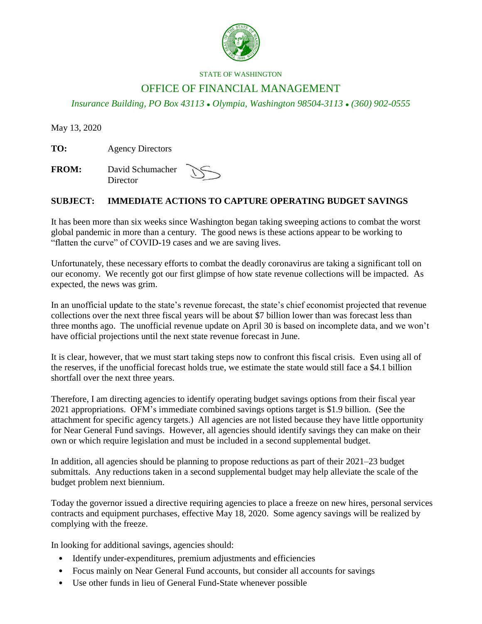

## STATE OF WASHINGTON

## OFFICE OF FINANCIAL MANAGEMENT

*Insurance Building, PO Box 43113 Olympia, Washington 98504-3113 (360) 902-0555*

May 13, 2020

**TO:** Agency Directors

**FROM:** David Schumacher **Director** 

## **SUBJECT: IMMEDIATE ACTIONS TO CAPTURE OPERATING BUDGET SAVINGS**

It has been more than six weeks since Washington began taking sweeping actions to combat the worst global pandemic in more than a century. The good news is these actions appear to be working to "flatten the curve" of COVID-19 cases and we are saving lives.

Unfortunately, these necessary efforts to combat the deadly coronavirus are taking a significant toll on our economy. We recently got our first glimpse of how state revenue collections will be impacted. As expected, the news was grim.

In an unofficial update to the state's revenue forecast, the state's chief economist projected that revenue collections over the next three fiscal years will be about \$7 billion lower than was forecast less than three months ago. The unofficial revenue update on April 30 is based on incomplete data, and we won't have official projections until the next state revenue forecast in June.

It is clear, however, that we must start taking steps now to confront this fiscal crisis. Even using all of the reserves, if the unofficial forecast holds true, we estimate the state would still face a \$4.1 billion shortfall over the next three years.

Therefore, I am directing agencies to identify operating budget savings options from their fiscal year 2021 appropriations. OFM's immediate combined savings options target is \$1.9 billion. (See the attachment for specific agency targets.) All agencies are not listed because they have little opportunity for Near General Fund savings. However, all agencies should identify savings they can make on their own or which require legislation and must be included in a second supplemental budget.

In addition, all agencies should be planning to propose reductions as part of their 2021–23 budget submittals. Any reductions taken in a second supplemental budget may help alleviate the scale of the budget problem next biennium.

Today the governor issued a directive requiring agencies to place a freeze on new hires, personal services contracts and equipment purchases, effective May 18, 2020. Some agency savings will be realized by complying with the freeze.

In looking for additional savings, agencies should:

- Identify under-expenditures, premium adjustments and efficiencies
- Focus mainly on Near General Fund accounts, but consider all accounts for savings
- Use other funds in lieu of General Fund-State whenever possible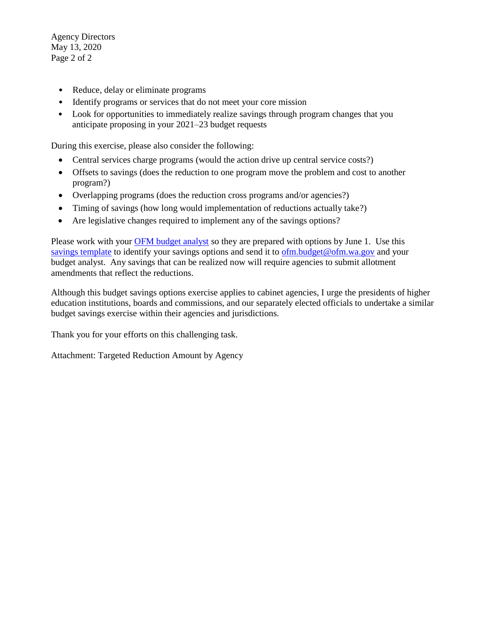Agency Directors May 13, 2020 Page 2 of 2

- Reduce, delay or eliminate programs
- Identify programs or services that do not meet your core mission
- Look for opportunities to immediately realize savings through program changes that you anticipate proposing in your 2021–23 budget requests

During this exercise, please also consider the following:

- Central services charge programs (would the action drive up central service costs?)
- Offsets to savings (does the reduction to one program move the problem and cost to another program?)
- Overlapping programs (does the reduction cross programs and/or agencies?)
- Timing of savings (how long would implementation of reductions actually take?)
- Are legislative changes required to implement any of the savings options?

Please work with your **OFM** budget analyst so they are prepared with options by June 1. Use this [savings template](https://ofm.wa.gov/sites/default/files/public/budget/documents/2019-21BudgetSavingsOptions.xlsx) to identify your savings options and send it to [ofm.budget@ofm.wa.gov](mailto:ofm.budget@ofm.wa.gov) and your budget analyst. Any savings that can be realized now will require agencies to submit allotment amendments that reflect the reductions.

Although this budget savings options exercise applies to cabinet agencies, I urge the presidents of higher education institutions, boards and commissions, and our separately elected officials to undertake a similar budget savings exercise within their agencies and jurisdictions.

Thank you for your efforts on this challenging task.

Attachment: Targeted Reduction Amount by Agency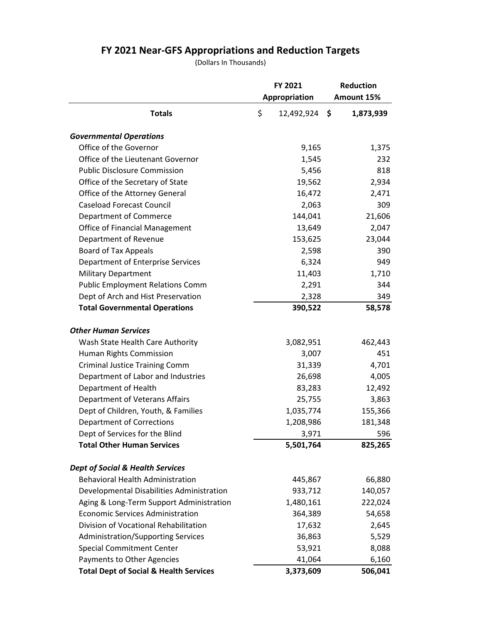## **FY 2021 Near-GFS Appropriations and Reduction Targets**

(Dollars In Thousands)

|                                                   | FY 2021<br>Appropriation | <b>Reduction</b><br>Amount 15% |
|---------------------------------------------------|--------------------------|--------------------------------|
| <b>Totals</b>                                     | \$<br>12,492,924         | \$<br>1,873,939                |
| <b>Governmental Operations</b>                    |                          |                                |
| Office of the Governor                            | 9,165                    | 1,375                          |
| Office of the Lieutenant Governor                 | 1,545                    | 232                            |
| <b>Public Disclosure Commission</b>               | 5,456                    | 818                            |
| Office of the Secretary of State                  | 19,562                   | 2,934                          |
| Office of the Attorney General                    | 16,472                   | 2,471                          |
| <b>Caseload Forecast Council</b>                  | 2,063                    | 309                            |
| Department of Commerce                            | 144,041                  | 21,606                         |
| <b>Office of Financial Management</b>             | 13,649                   | 2,047                          |
| Department of Revenue                             | 153,625                  | 23,044                         |
| Board of Tax Appeals                              | 2,598                    | 390                            |
| Department of Enterprise Services                 | 6,324                    | 949                            |
| <b>Military Department</b>                        | 11,403                   | 1,710                          |
| <b>Public Employment Relations Comm</b>           | 2,291                    | 344                            |
| Dept of Arch and Hist Preservation                | 2,328                    | 349                            |
| <b>Total Governmental Operations</b>              | 390,522                  | 58,578                         |
| <b>Other Human Services</b>                       |                          |                                |
| Wash State Health Care Authority                  | 3,082,951                | 462,443                        |
| Human Rights Commission                           | 3,007                    | 451                            |
| <b>Criminal Justice Training Comm</b>             | 31,339                   | 4,701                          |
| Department of Labor and Industries                | 26,698                   | 4,005                          |
| Department of Health                              | 83,283                   | 12,492                         |
| <b>Department of Veterans Affairs</b>             | 25,755                   | 3,863                          |
| Dept of Children, Youth, & Families               | 1,035,774                | 155,366                        |
| <b>Department of Corrections</b>                  | 1,208,986                | 181,348                        |
| Dept of Services for the Blind                    | 3,971                    | 596                            |
| <b>Total Other Human Services</b>                 | 5,501,764                | 825,265                        |
| <b>Dept of Social &amp; Health Services</b>       |                          |                                |
| <b>Behavioral Health Administration</b>           | 445,867                  | 66,880                         |
| Developmental Disabilities Administration         | 933,712                  | 140,057                        |
| Aging & Long-Term Support Administration          | 1,480,161                | 222,024                        |
| <b>Economic Services Administration</b>           | 364,389                  | 54,658                         |
| Division of Vocational Rehabilitation             | 17,632                   | 2,645                          |
| <b>Administration/Supporting Services</b>         | 36,863                   | 5,529                          |
| <b>Special Commitment Center</b>                  | 53,921                   | 8,088                          |
| Payments to Other Agencies                        | 41,064                   | 6,160                          |
| <b>Total Dept of Social &amp; Health Services</b> | 3,373,609                | 506,041                        |